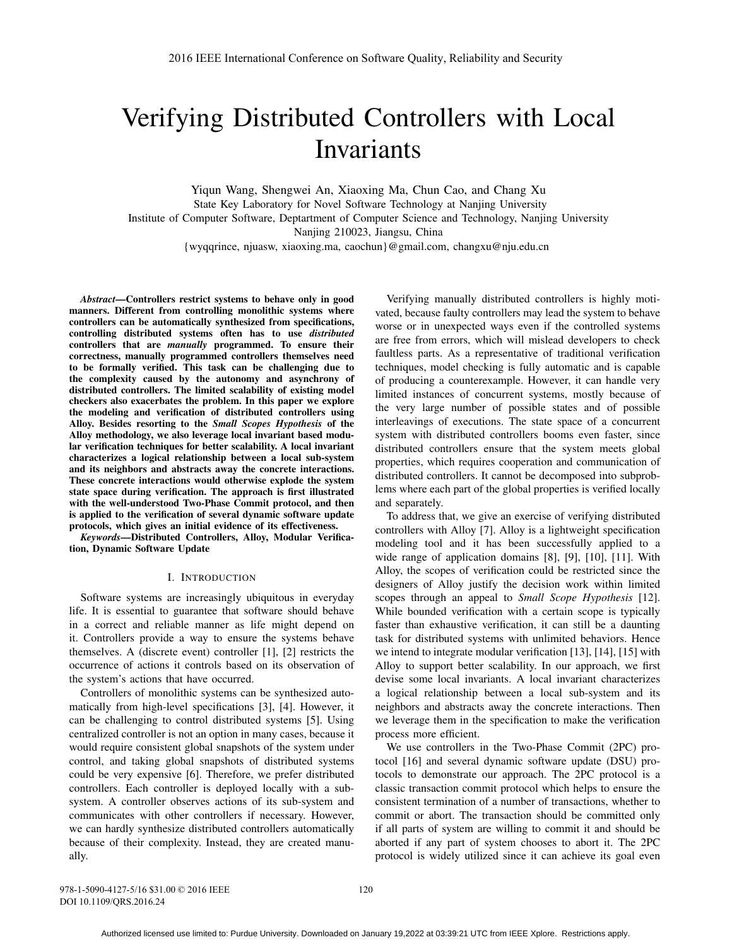# Verifying Distributed Controllers with Local Invariants

Yiqun Wang, Shengwei An, Xiaoxing Ma, Chun Cao, and Chang Xu State Key Laboratory for Novel Software Technology at Nanjing University Institute of Computer Software, Deptartment of Computer Science and Technology, Nanjing University Nanjing 210023, Jiangsu, China {wyqqrince, njuasw, xiaoxing.ma, caochun}@gmail.com, changxu@nju.edu.cn

*Abstract*—Controllers restrict systems to behave only in good manners. Different from controlling monolithic systems where controllers can be automatically synthesized from specifications, controlling distributed systems often has to use *distributed* controllers that are *manually* programmed. To ensure their correctness, manually programmed controllers themselves need to be formally verified. This task can be challenging due to the complexity caused by the autonomy and asynchrony of distributed controllers. The limited scalability of existing model checkers also exacerbates the problem. In this paper we explore the modeling and verification of distributed controllers using Alloy. Besides resorting to the *Small Scopes Hypothesis* of the Alloy methodology, we also leverage local invariant based modular verification techniques for better scalability. A local invariant characterizes a logical relationship between a local sub-system and its neighbors and abstracts away the concrete interactions. These concrete interactions would otherwise explode the system state space during verification. The approach is first illustrated with the well-understood Two-Phase Commit protocol, and then is applied to the verification of several dynamic software update protocols, which gives an initial evidence of its effectiveness.

*Keywords*—Distributed Controllers, Alloy, Modular Verification, Dynamic Software Update

## I. INTRODUCTION

Software systems are increasingly ubiquitous in everyday life. It is essential to guarantee that software should behave in a correct and reliable manner as life might depend on it. Controllers provide a way to ensure the systems behave themselves. A (discrete event) controller [1], [2] restricts the occurrence of actions it controls based on its observation of the system's actions that have occurred.

Controllers of monolithic systems can be synthesized automatically from high-level specifications [3], [4]. However, it can be challenging to control distributed systems [5]. Using centralized controller is not an option in many cases, because it would require consistent global snapshots of the system under control, and taking global snapshots of distributed systems could be very expensive [6]. Therefore, we prefer distributed controllers. Each controller is deployed locally with a subsystem. A controller observes actions of its sub-system and communicates with other controllers if necessary. However, we can hardly synthesize distributed controllers automatically because of their complexity. Instead, they are created manually.

Verifying manually distributed controllers is highly motivated, because faulty controllers may lead the system to behave worse or in unexpected ways even if the controlled systems are free from errors, which will mislead developers to check faultless parts. As a representative of traditional verification techniques, model checking is fully automatic and is capable of producing a counterexample. However, it can handle very limited instances of concurrent systems, mostly because of the very large number of possible states and of possible interleavings of executions. The state space of a concurrent system with distributed controllers booms even faster, since distributed controllers ensure that the system meets global properties, which requires cooperation and communication of distributed controllers. It cannot be decomposed into subproblems where each part of the global properties is verified locally and separately.

To address that, we give an exercise of verifying distributed controllers with Alloy [7]. Alloy is a lightweight specification modeling tool and it has been successfully applied to a wide range of application domains [8], [9], [10], [11]. With Alloy, the scopes of verification could be restricted since the designers of Alloy justify the decision work within limited scopes through an appeal to *Small Scope Hypothesis* [12]. While bounded verification with a certain scope is typically faster than exhaustive verification, it can still be a daunting task for distributed systems with unlimited behaviors. Hence we intend to integrate modular verification [13], [14], [15] with Alloy to support better scalability. In our approach, we first devise some local invariants. A local invariant characterizes a logical relationship between a local sub-system and its neighbors and abstracts away the concrete interactions. Then we leverage them in the specification to make the verification process more efficient.

We use controllers in the Two-Phase Commit (2PC) protocol [16] and several dynamic software update (DSU) protocols to demonstrate our approach. The 2PC protocol is a classic transaction commit protocol which helps to ensure the consistent termination of a number of transactions, whether to commit or abort. The transaction should be committed only if all parts of system are willing to commit it and should be aborted if any part of system chooses to abort it. The 2PC protocol is widely utilized since it can achieve its goal even

978-1-5090-4127-5/16 \$31.00 © 2016 IEEE DOI 10.1109/QRS.2016.24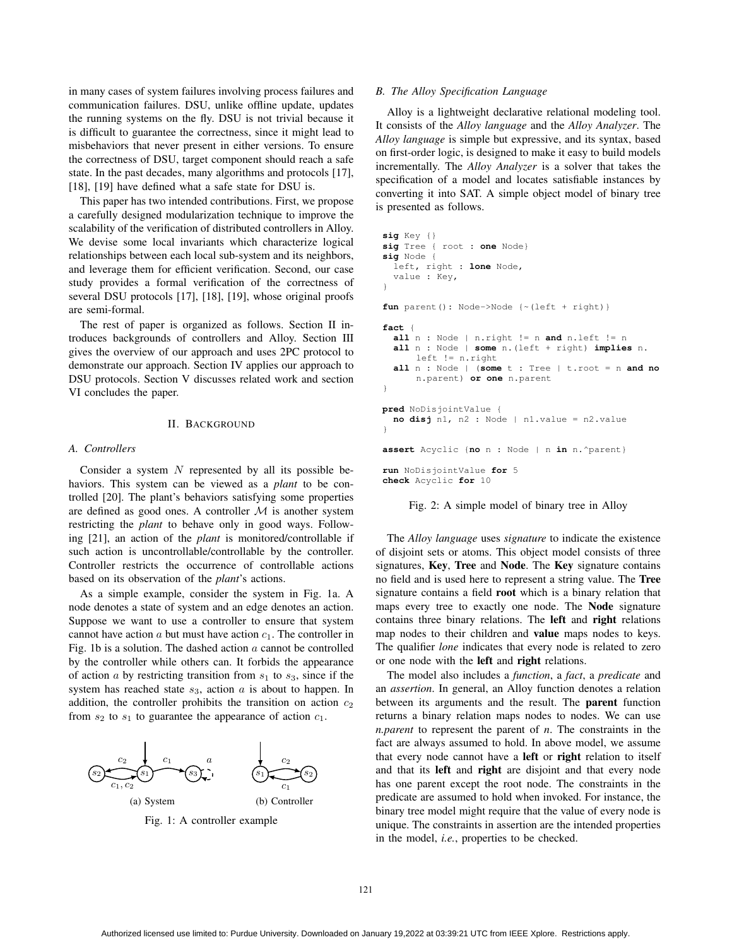in many cases of system failures involving process failures and communication failures. DSU, unlike offline update, updates the running systems on the fly. DSU is not trivial because it is difficult to guarantee the correctness, since it might lead to misbehaviors that never present in either versions. To ensure the correctness of DSU, target component should reach a safe state. In the past decades, many algorithms and protocols [17], [18], [19] have defined what a safe state for DSU is.

This paper has two intended contributions. First, we propose a carefully designed modularization technique to improve the scalability of the verification of distributed controllers in Alloy. We devise some local invariants which characterize logical relationships between each local sub-system and its neighbors, and leverage them for efficient verification. Second, our case study provides a formal verification of the correctness of several DSU protocols [17], [18], [19], whose original proofs are semi-formal.

The rest of paper is organized as follows. Section II introduces backgrounds of controllers and Alloy. Section III gives the overview of our approach and uses 2PC protocol to demonstrate our approach. Section IV applies our approach to DSU protocols. Section V discusses related work and section VI concludes the paper.

#### II. BACKGROUND

## *A. Controllers*

Consider a system  $N$  represented by all its possible behaviors. This system can be viewed as a *plant* to be controlled [20]. The plant's behaviors satisfying some properties are defined as good ones. A controller  $M$  is another system restricting the *plant* to behave only in good ways. Following [21], an action of the *plant* is monitored/controllable if such action is uncontrollable/controllable by the controller. Controller restricts the occurrence of controllable actions based on its observation of the *plant*'s actions.

As a simple example, consider the system in Fig. 1a. A node denotes a state of system and an edge denotes an action. Suppose we want to use a controller to ensure that system cannot have action a but must have action  $c_1$ . The controller in Fig. 1b is a solution. The dashed action  $a$  cannot be controlled by the controller while others can. It forbids the appearance of action a by restricting transition from  $s_1$  to  $s_3$ , since if the system has reached state  $s_3$ , action  $a$  is about to happen. In addition, the controller prohibits the transition on action  $c_2$ from  $s_2$  to  $s_1$  to guarantee the appearance of action  $c_1$ .



Fig. 1: A controller example

# *B. The Alloy Specification Language*

Alloy is a lightweight declarative relational modeling tool. It consists of the *Alloy language* and the *Alloy Analyzer*. The *Alloy language* is simple but expressive, and its syntax, based on first-order logic, is designed to make it easy to build models incrementally. The *Alloy Analyzer* is a solver that takes the specification of a model and locates satisfiable instances by converting it into SAT. A simple object model of binary tree is presented as follows.

```
sig Key {}
sig Tree { root : one Node}
sig Node {
  left, right : lone Node,
  value : Key,
}
fun parent(): Node->Node {~(left + right)}
fact {
  all n : Node | n.right != n and n.left != n
  all n : Node | some n.(left + right) implies n.
      left != n.right
  all n : Node | (some t : Tree | t.root = n and no
      n.parent) or one n.parent
}
pred NoDisjointValue {
  no disj n1, n2 : Node | n1.value = n2.value
}
assert Acyclic {no n : Node | n in n.^parent}
run NoDisjointValue for 5
check Acyclic for 10
```
Fig. 2: A simple model of binary tree in Alloy

The *Alloy language* uses *signature* to indicate the existence of disjoint sets or atoms. This object model consists of three signatures, Key, Tree and Node. The Key signature contains no field and is used here to represent a string value. The Tree signature contains a field root which is a binary relation that maps every tree to exactly one node. The Node signature contains three binary relations. The left and right relations map nodes to their children and **value** maps nodes to keys. The qualifier *lone* indicates that every node is related to zero or one node with the left and right relations.

The model also includes a *function*, a *fact*, a *predicate* and an *assertion*. In general, an Alloy function denotes a relation between its arguments and the result. The parent function returns a binary relation maps nodes to nodes. We can use *n.parent* to represent the parent of *n*. The constraints in the fact are always assumed to hold. In above model, we assume that every node cannot have a left or right relation to itself and that its left and right are disjoint and that every node has one parent except the root node. The constraints in the predicate are assumed to hold when invoked. For instance, the binary tree model might require that the value of every node is unique. The constraints in assertion are the intended properties in the model, *i.e.*, properties to be checked.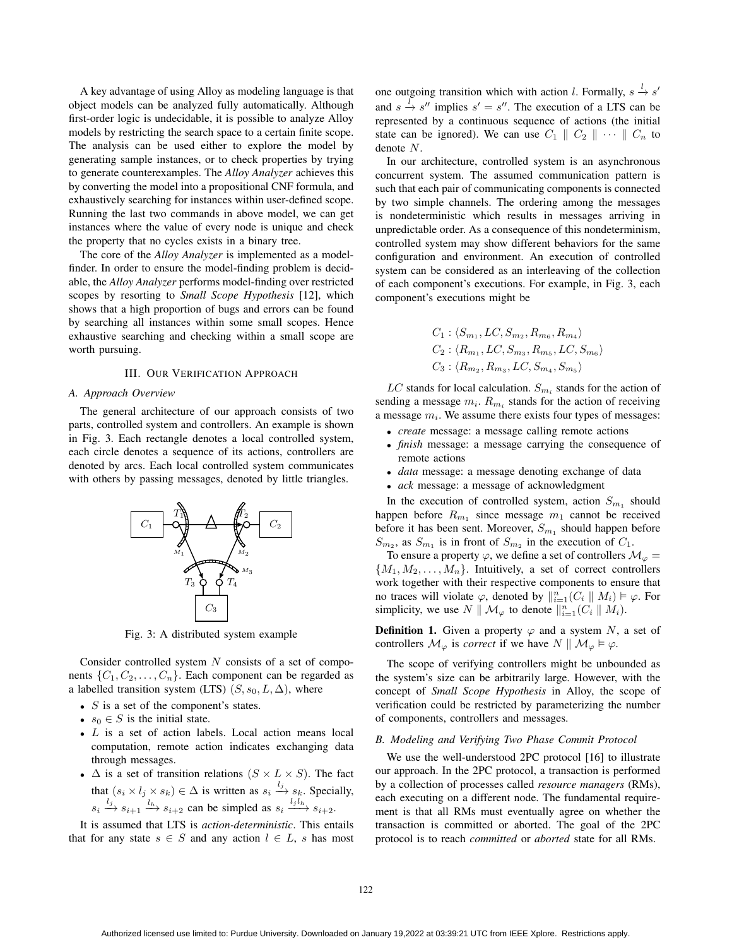A key advantage of using Alloy as modeling language is that object models can be analyzed fully automatically. Although first-order logic is undecidable, it is possible to analyze Alloy models by restricting the search space to a certain finite scope. The analysis can be used either to explore the model by generating sample instances, or to check properties by trying to generate counterexamples. The *Alloy Analyzer* achieves this by converting the model into a propositional CNF formula, and exhaustively searching for instances within user-defined scope. Running the last two commands in above model, we can get instances where the value of every node is unique and check the property that no cycles exists in a binary tree.

The core of the *Alloy Analyzer* is implemented as a modelfinder. In order to ensure the model-finding problem is decidable, the *Alloy Analyzer* performs model-finding over restricted scopes by resorting to *Small Scope Hypothesis* [12], which shows that a high proportion of bugs and errors can be found by searching all instances within some small scopes. Hence exhaustive searching and checking within a small scope are worth pursuing.

## III. OUR VERIFICATION APPROACH

## *A. Approach Overview*

The general architecture of our approach consists of two parts, controlled system and controllers. An example is shown in Fig. 3. Each rectangle denotes a local controlled system, each circle denotes a sequence of its actions, controllers are denoted by arcs. Each local controlled system communicates with others by passing messages, denoted by little triangles.



Fig. 3: A distributed system example

Consider controlled system  $N$  consists of a set of components  $\{C_1, C_2, \ldots, C_n\}$ . Each component can be regarded as a labelled transition system (LTS)  $(S, s_0, L, \Delta)$ , where

- $S$  is a set of the component's states.
- $s_0 \in S$  is the initial state.
- L is a set of action labels. Local action means local computation, remote action indicates exchanging data through messages.
- $\Delta$  is a set of transition relations  $(S \times L \times S)$ . The fact that  $(s_i \times l_j \times s_k) \in \Delta$  is written as  $s_i \stackrel{l_j}{\longrightarrow} s_k$ . Specially,  $s_i \xrightarrow{l_j} s_{i+1} \xrightarrow{l_h} s_{i+2}$  can be simpled as  $s_i \xrightarrow{l_j l_h} s_{i+2}$ .

It is assumed that LTS is *action-deterministic*. This entails that for any state  $s \in S$  and any action  $l \in L$ , s has most

one outgoing transition which with action *l*. Formally,  $s \stackrel{l}{\rightarrow} s'$ and  $s \stackrel{l}{\rightarrow} s''$  implies  $s' = s''$ . The execution of a LTS can be represented by a continuous sequence of actions (the initial state can be ignored). We can use  $C_1 \parallel C_2 \parallel \cdots \parallel C_n$  to denote N.

In our architecture, controlled system is an asynchronous concurrent system. The assumed communication pattern is such that each pair of communicating components is connected by two simple channels. The ordering among the messages is nondeterministic which results in messages arriving in unpredictable order. As a consequence of this nondeterminism, controlled system may show different behaviors for the same configuration and environment. An execution of controlled system can be considered as an interleaving of the collection of each component's executions. For example, in Fig. 3, each component's executions might be

$$
C_1: \langle S_{m_1}, LC, S_{m_2}, R_{m_6}, R_{m_4} \rangle
$$
  
\n
$$
C_2: \langle R_{m_1}, LC, S_{m_3}, R_{m_5}, LC, S_{m_6} \rangle
$$
  
\n
$$
C_3: \langle R_{m_2}, R_{m_3}, LC, S_{m_4}, S_{m_5} \rangle
$$

 $LC$  stands for local calculation.  $S_{m_i}$  stands for the action of sending a message  $m_i$ .  $R_{m_i}$  stands for the action of receiving a message m*i*. We assume there exists four types of messages:

- *create* message: a message calling remote actions
- *finish* message: a message carrying the consequence of remote actions
- *data* message: a message denoting exchange of data
- *ack* message: a message of acknowledgment

In the execution of controlled system, action  $S_{m_1}$  should happen before  $R_{m_1}$  since message  $m_1$  cannot be received before it has been sent. Moreover,  $S_{m_1}$  should happen before  $S_{m_2}$ , as  $S_{m_1}$  is in front of  $S_{m_2}$  in the execution of  $C_1$ .

To ensure a property  $\varphi$ , we define a set of controllers  $\mathcal{M}_{\varphi} =$  ${M_1, M_2, \ldots, M_n}$ . Intuitively, a set of correct controllers work together with their respective components to ensure that no traces will violate  $\varphi$ , denoted by  $\|_{i=1}^n(C_i \parallel M_i) \models \varphi$ . For simplicity, we use  $N \parallel M_\varphi$  to denote  $\parallel_{i=1}^n (C_i \parallel M_i)$ .

**Definition 1.** Given a property  $\varphi$  and a system N, a set of controllers  $\mathcal{M}_{\varphi}$  is *correct* if we have  $N \parallel \mathcal{M}_{\varphi} \models \varphi$ .

The scope of verifying controllers might be unbounded as the system's size can be arbitrarily large. However, with the concept of *Small Scope Hypothesis* in Alloy, the scope of verification could be restricted by parameterizing the number of components, controllers and messages.

## *B. Modeling and Verifying Two Phase Commit Protocol*

We use the well-understood 2PC protocol [16] to illustrate our approach. In the 2PC protocol, a transaction is performed by a collection of processes called *resource managers* (RMs), each executing on a different node. The fundamental requirement is that all RMs must eventually agree on whether the transaction is committed or aborted. The goal of the 2PC protocol is to reach *committed* or *aborted* state for all RMs.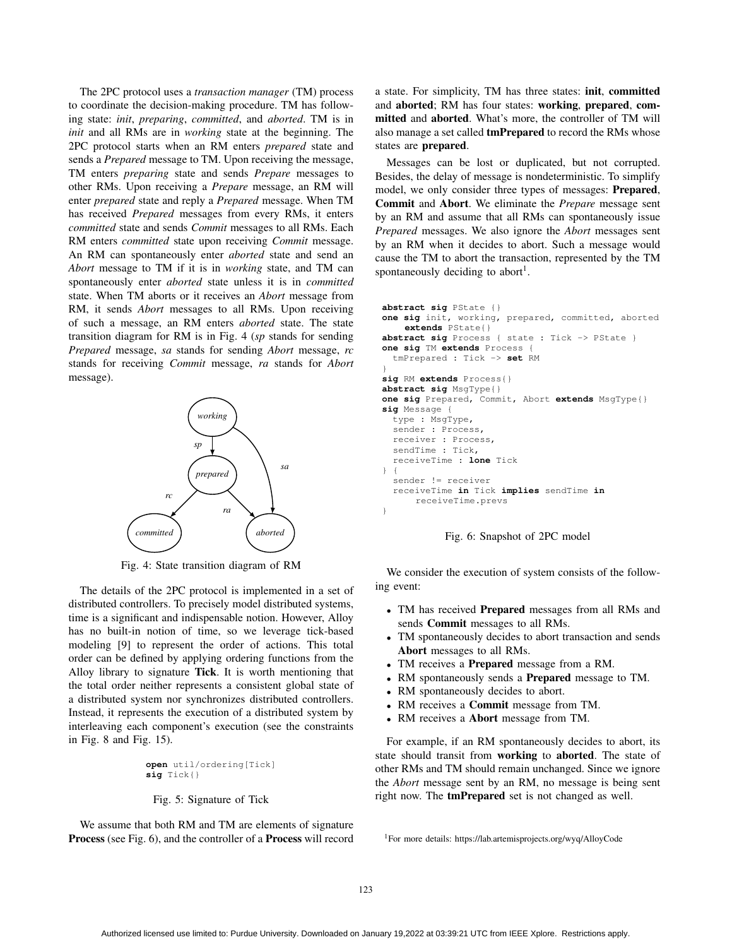The 2PC protocol uses a *transaction manager* (TM) process to coordinate the decision-making procedure. TM has following state: *init*, *preparing*, *committed*, and *aborted*. TM is in *init* and all RMs are in *working* state at the beginning. The 2PC protocol starts when an RM enters *prepared* state and sends a *Prepared* message to TM. Upon receiving the message, TM enters *preparing* state and sends *Prepare* messages to other RMs. Upon receiving a *Prepare* message, an RM will enter *prepared* state and reply a *Prepared* message. When TM has received *Prepared* messages from every RMs, it enters *committed* state and sends *Commit* messages to all RMs. Each RM enters *committed* state upon receiving *Commit* message. An RM can spontaneously enter *aborted* state and send an *Abort* message to TM if it is in *working* state, and TM can spontaneously enter *aborted* state unless it is in *committed* state. When TM aborts or it receives an *Abort* message from RM, it sends *Abort* messages to all RMs. Upon receiving of such a message, an RM enters *aborted* state. The state transition diagram for RM is in Fig. 4 (*sp* stands for sending *Prepared* message, *sa* stands for sending *Abort* message, *rc* stands for receiving *Commit* message, *ra* stands for *Abort* message).



Fig. 4: State transition diagram of RM

The details of the 2PC protocol is implemented in a set of distributed controllers. To precisely model distributed systems, time is a significant and indispensable notion. However, Alloy has no built-in notion of time, so we leverage tick-based modeling [9] to represent the order of actions. This total order can be defined by applying ordering functions from the Alloy library to signature Tick. It is worth mentioning that the total order neither represents a consistent global state of a distributed system nor synchronizes distributed controllers. Instead, it represents the execution of a distributed system by interleaving each component's execution (see the constraints in Fig. 8 and Fig. 15).

```
open util/ordering[Tick]
sig Tick{}
```
## Fig. 5: Signature of Tick

We assume that both RM and TM are elements of signature Process (see Fig. 6), and the controller of a Process will record

a state. For simplicity, TM has three states: init, committed and aborted; RM has four states: working, prepared, committed and aborted. What's more, the controller of TM will also manage a set called tmPrepared to record the RMs whose states are prepared.

Messages can be lost or duplicated, but not corrupted. Besides, the delay of message is nondeterministic. To simplify model, we only consider three types of messages: Prepared, Commit and Abort. We eliminate the *Prepare* message sent by an RM and assume that all RMs can spontaneously issue *Prepared* messages. We also ignore the *Abort* messages sent by an RM when it decides to abort. Such a message would cause the TM to abort the transaction, represented by the TM spontaneously deciding to abort<sup>1</sup>.

```
abstract sig PState {}
one sig init, working, prepared, committed, aborted
    extends PState{}
abstract sig Process { state : Tick -> PState }
one sig TM extends Process {
  tmPrepared : Tick -> set RM
}
sig RM extends Process{}
abstract sig MsgType{}
one sig Prepared, Commit, Abort extends MsgType{}
sig Message {
  type : MsgType,
  sender : Process,
  receiver : Process,
  sendTime : Tick,
  receiveTime : lone Tick
} {
  sender != receiver
  receiveTime in Tick implies sendTime in
      receiveTime.prevs
}
```
Fig. 6: Snapshot of 2PC model

We consider the execution of system consists of the following event:

- TM has received Prepared messages from all RMs and sends Commit messages to all RMs.
- TM spontaneously decides to abort transaction and sends Abort messages to all RMs.
- TM receives a Prepared message from a RM.
- RM spontaneously sends a Prepared message to TM.
- RM spontaneously decides to abort.
- RM receives a Commit message from TM.
- RM receives a **Abort** message from TM.

For example, if an RM spontaneously decides to abort, its state should transit from working to aborted. The state of other RMs and TM should remain unchanged. Since we ignore the *Abort* message sent by an RM, no message is being sent right now. The tmPrepared set is not changed as well.

1For more details: https://lab.artemisprojects.org/wyq/AlloyCode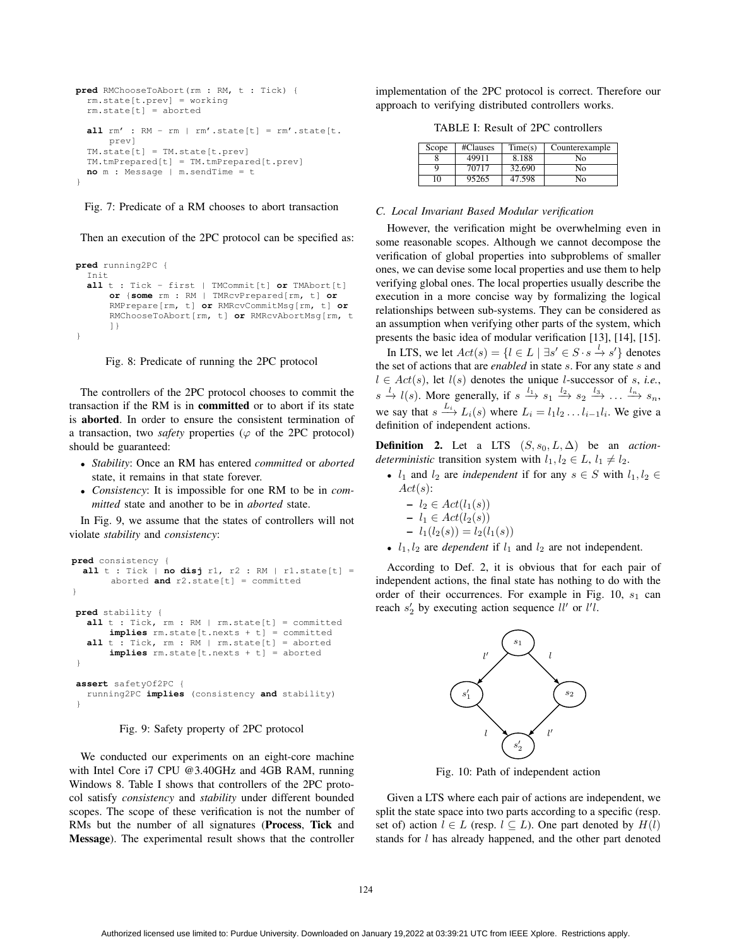```
pred RMChooseToAbort(rm : RM, t : Tick) {
  rm.state[t.prev] = working
  rm.state[t] = aborted
  all rm' : RM - rm | rm'.state[t] = rm'.state[t.
      prev]
  TM.state[t] = TM.state[t.prev]
  TM.tmPrepared[t] = TM.tmPrepared[t.prev]
 no m : Message | m.sendTime = t
}
```
Fig. 7: Predicate of a RM chooses to abort transaction

Then an execution of the 2PC protocol can be specified as:

```
pred running2PC {
  Init
  all t : Tick - first | TMCommit[t] or TMAbort[t]
      or {some rm : RM | TMRcvPrepared[rm, t] or
      RMPrepare[rm, t] or RMRcvCommitMsg[rm, t] or
      RMChooseToAbort[rm, t] or RMRcvAbortMsg[rm, t
      ]}
}
```


The controllers of the 2PC protocol chooses to commit the transaction if the RM is in committed or to abort if its state is aborted. In order to ensure the consistent termination of a transaction, two *safety* properties ( $\varphi$  of the 2PC protocol) should be guaranteed:

- *Stability*: Once an RM has entered *committed* or *aborted* state, it remains in that state forever.
- *Consistency*: It is impossible for one RM to be in *committed* state and another to be in *aborted* state.

In Fig. 9, we assume that the states of controllers will not violate *stability* and *consistency*:

```
pred consistency {
  all t : Tick | no disj r1, r2 : RM | r1.state[t] =
       aborted and r2.state[t] = committed
}
pred stability {
  all t : Tick, rm : RM | rm.state[t] = committed
       implies rm.state[t.nexts + t] = committed
  all t : Tick, rm : RM | rm.state[t] = aborted
       implies rm.state[t.nexts + t] = aborted
 }
assert safetyOf2PC {
  running2PC implies (consistency and stability)
 }
```
Fig. 9: Safety property of 2PC protocol

We conducted our experiments on an eight-core machine with Intel Core i7 CPU @3.40GHz and 4GB RAM, running Windows 8. Table I shows that controllers of the 2PC protocol satisfy *consistency* and *stability* under different bounded scopes. The scope of these verification is not the number of RMs but the number of all signatures (Process, Tick and Message). The experimental result shows that the controller

implementation of the 2PC protocol is correct. Therefore our approach to verifying distributed controllers works.

TABLE I: Result of 2PC controllers

| Scope | #Clauses | Time(s) | Counterexample |
|-------|----------|---------|----------------|
|       | 49911    | 8.188   | Nο             |
| Q     | 70717    | 32.690  | Nο             |
| 10    | 95265    | 47.598  | Nο             |

# *C. Local Invariant Based Modular verification*

However, the verification might be overwhelming even in some reasonable scopes. Although we cannot decompose the verification of global properties into subproblems of smaller ones, we can devise some local properties and use them to help verifying global ones. The local properties usually describe the execution in a more concise way by formalizing the logical relationships between sub-systems. They can be considered as an assumption when verifying other parts of the system, which presents the basic idea of modular verification [13], [14], [15].

In LTS, we let  $Act(s) = \{l \in L \mid \exists s' \in S \cdot s \stackrel{l}{\rightarrow} s'\}$  denotes the set of actions that are *enabled* in state s. For any state s and  $l \in Act(s)$ , let  $l(s)$  denotes the unique *l*-successor of s, *i.e.*,  $s \xrightarrow{l} l(s)$ . More generally, if  $s \xrightarrow{l_1} s_1 \xrightarrow{l_2} s_2 \xrightarrow{l_3} \dots \xrightarrow{l_n} s_n$ , we say that  $s \xrightarrow{L_i} L_i(s)$  where  $L_i = l_1 l_2 \dots l_{i-1} l_i$ . We give a definition of independent actions.

**Definition 2.** Let a LTS  $(S, s_0, L, \Delta)$  be an *actiondeterministic* transition system with  $l_1, l_2 \in L$ ,  $l_1 \neq l_2$ .

•  $l_1$  and  $l_2$  are *independent* if for any  $s \in S$  with  $l_1, l_2 \in$  $Act(s)$ :

$$
- l_2 \in Act(l_1(s))
$$
  
\n
$$
- l_1 \in Act(l_2(s))
$$
  
\n
$$
- l_1(l_2(s)) = l_2(l_1(s))
$$

•  $l_1, l_2$  are *dependent* if  $l_1$  and  $l_2$  are not independent.

According to Def. 2, it is obvious that for each pair of independent actions, the final state has nothing to do with the order of their occurrences. For example in Fig.  $10$ ,  $s_1$  can reach  $s_2'$  by executing action sequence  $ll'$  or  $l'l$ .



Fig. 10: Path of independent action

Given a LTS where each pair of actions are independent, we split the state space into two parts according to a specific (resp. set of) action  $l \in L$  (resp.  $l \subseteq L$ ). One part denoted by  $H(l)$ stands for *l* has already happened, and the other part denoted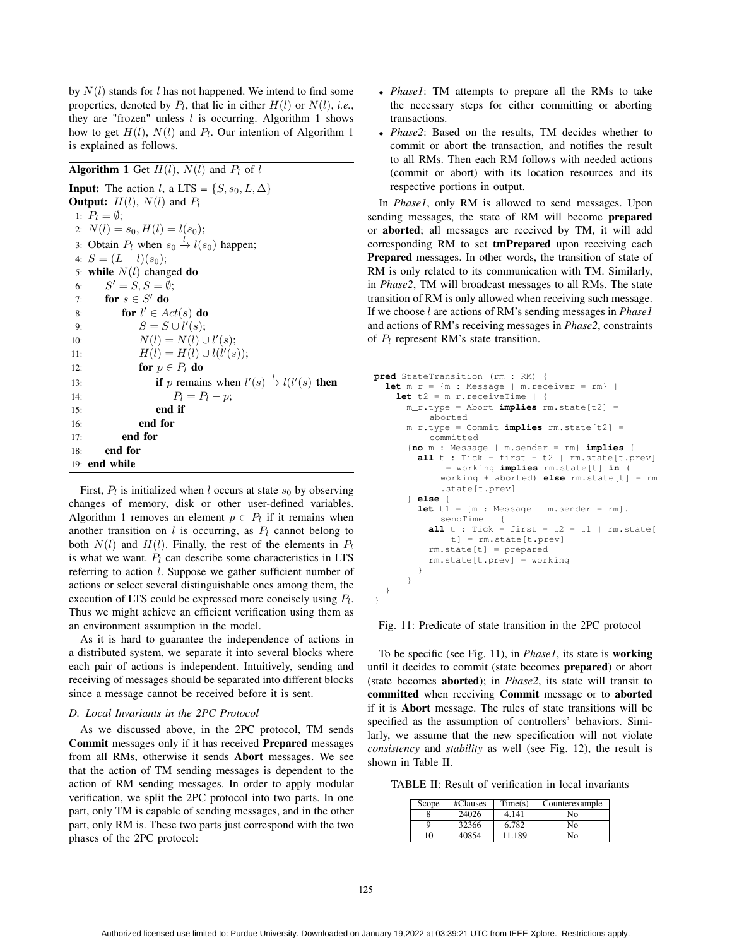by  $N(l)$  stands for l has not happened. We intend to find some properties, denoted by  $P_l$ , that lie in either  $H(l)$  or  $N(l)$ , *i.e.*, they are "frozen" unless  $l$  is occurring. Algorithm 1 shows how to get  $H(l)$ ,  $N(l)$  and  $P_l$ . Our intention of Algorithm 1 is explained as follows.

**Algorithm 1** Get  $H(l)$ ,  $N(l)$  and  $P_l$  of l

**Input:** The action l, a LTS =  $\{S, s_0, L, \Delta\}$ **Output:**  $H(l)$ ,  $N(l)$  and  $P_l$ 1:  $P_l = \emptyset$ ; 2:  $N(l) = s_0, H(l) = l(s_0);$ 3: Obtain  $P_l$  when  $s_0 \stackrel{l}{\rightarrow} l(s_0)$  happen; 4:  $S = (L - l)(s_0)$ ; 5: while  $N(l)$  changed do 6:  $S' = S, S = \emptyset;$ 7: for  $s \in S'$  do 8: **for**  $l' \in Act(s)$  **do** 9:  $S = S \cup l'(s);$ 10:  $N(l) = N(l) \cup l'(s);$ 11:  $H(l) = H(l) \cup l(l'(s));$ 12: **for**  $p \in P_l$  **do** 13: **if** p remains when  $l'(s) \stackrel{l}{\rightarrow} l(l'(s)$  then 14:  $P_l = P_l - p;$ 15: end if 16: end for 17: end for 18: end for 19: end while

First,  $P_l$  is initialized when l occurs at state  $s_0$  by observing changes of memory, disk or other user-defined variables. Algorithm 1 removes an element  $p \in P_l$  if it remains when another transition on  $l$  is occurring, as  $P_l$  cannot belong to both  $N(l)$  and  $H(l)$ . Finally, the rest of the elements in  $P_l$ is what we want.  $P_l$  can describe some characteristics in LTS referring to action l. Suppose we gather sufficient number of actions or select several distinguishable ones among them, the execution of LTS could be expressed more concisely using P*l*. Thus we might achieve an efficient verification using them as an environment assumption in the model.

As it is hard to guarantee the independence of actions in a distributed system, we separate it into several blocks where each pair of actions is independent. Intuitively, sending and receiving of messages should be separated into different blocks since a message cannot be received before it is sent.

# *D. Local Invariants in the 2PC Protocol*

As we discussed above, in the 2PC protocol, TM sends Commit messages only if it has received Prepared messages from all RMs, otherwise it sends Abort messages. We see that the action of TM sending messages is dependent to the action of RM sending messages. In order to apply modular verification, we split the 2PC protocol into two parts. In one part, only TM is capable of sending messages, and in the other part, only RM is. These two parts just correspond with the two phases of the 2PC protocol:

- *Phase1*: TM attempts to prepare all the RMs to take the necessary steps for either committing or aborting transactions.
- *Phase2*: Based on the results, TM decides whether to commit or abort the transaction, and notifies the result to all RMs. Then each RM follows with needed actions (commit or abort) with its location resources and its respective portions in output.

In *Phase1*, only RM is allowed to send messages. Upon sending messages, the state of RM will become prepared or aborted; all messages are received by TM, it will add corresponding RM to set tmPrepared upon receiving each Prepared messages. In other words, the transition of state of RM is only related to its communication with TM. Similarly, in *Phase2*, TM will broadcast messages to all RMs. The state transition of RM is only allowed when receiving such message. If we choose l are actions of RM's sending messages in *Phase1* and actions of RM's receiving messages in *Phase2*, constraints of P*<sup>l</sup>* represent RM's state transition.

```
pred StateTransition (rm : RM) {
  let m_r = \{m : Message \mid m.receiver = rm\}let t2 = m_r.receiveTime | {
      m_r.type = Abort implies rm.state[t2] =
          aborted
      m_r.type = Commit implies rm.state[t2] =
          committed
      {no m : Message | m.sender = rm} implies {
        all t : Tick - first - t2 | rm.state[t.prev]
             = working implies rm.state[t] in (
            working + aborted) else rm.state[t] = rm
            .state[t.prev]
      } else {
        let t1 = \{m : Message \mid m.sender = rm\}.sendTime | {
          all t : Tick - first - t2 - t1 | rm.state[
              t] = rm.state[t.prev]
          rm.state[t] = preparedrm.state[t.prev] = working
        }
      }
  }
}
```
## Fig. 11: Predicate of state transition in the 2PC protocol

To be specific (see Fig. 11), in *Phase1*, its state is working until it decides to commit (state becomes prepared) or abort (state becomes aborted); in *Phase2*, its state will transit to committed when receiving Commit message or to aborted if it is Abort message. The rules of state transitions will be specified as the assumption of controllers' behaviors. Similarly, we assume that the new specification will not violate *consistency* and *stability* as well (see Fig. 12), the result is shown in Table II.

TABLE II: Result of verification in local invariants

| Scope | #Clauses | Time(s) | Counterexample |
|-------|----------|---------|----------------|
|       | 24026    | 4 141   | No             |
|       | 32366    | 6.782   | No             |
| 10    | 40854    | 11 189  | Nο             |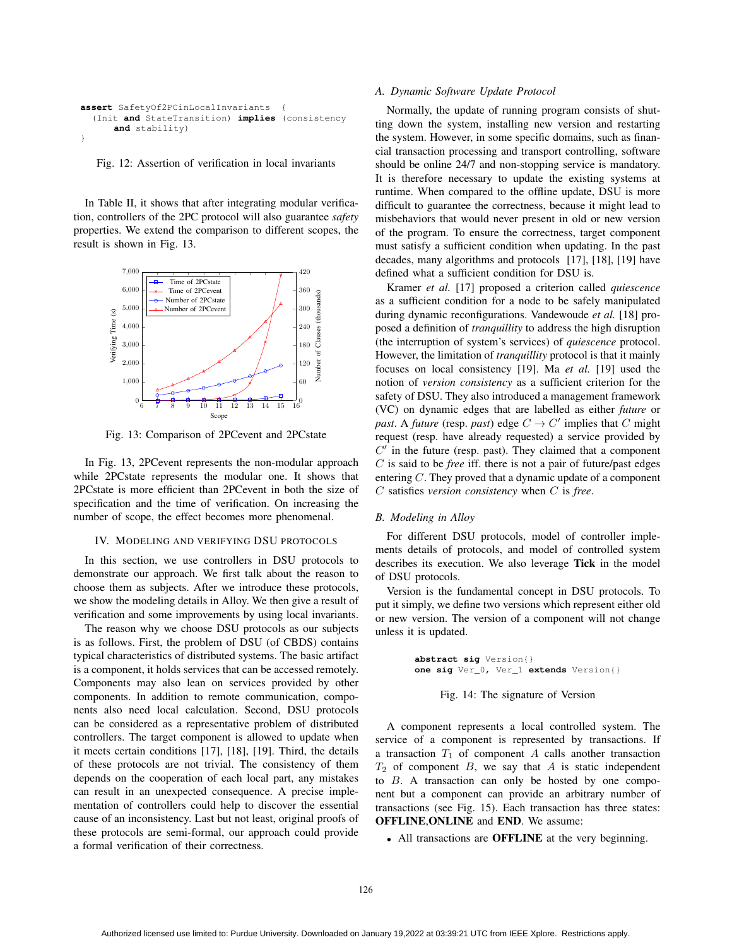```
assert SafetyOf2PCinLocalInvariants {
  (Init and StateTransition) implies (consistency
      and stability)
}
```
Fig. 12: Assertion of verification in local invariants

In Table II, it shows that after integrating modular verification, controllers of the 2PC protocol will also guarantee *safety* properties. We extend the comparison to different scopes, the result is shown in Fig. 13.



Fig. 13: Comparison of 2PCevent and 2PCstate

In Fig. 13, 2PCevent represents the non-modular approach while 2PCstate represents the modular one. It shows that 2PCstate is more efficient than 2PCevent in both the size of specification and the time of verification. On increasing the number of scope, the effect becomes more phenomenal.

#### IV. MODELING AND VERIFYING DSU PROTOCOLS

In this section, we use controllers in DSU protocols to demonstrate our approach. We first talk about the reason to choose them as subjects. After we introduce these protocols, we show the modeling details in Alloy. We then give a result of verification and some improvements by using local invariants.

The reason why we choose DSU protocols as our subjects is as follows. First, the problem of DSU (of CBDS) contains typical characteristics of distributed systems. The basic artifact is a component, it holds services that can be accessed remotely. Components may also lean on services provided by other components. In addition to remote communication, components also need local calculation. Second, DSU protocols can be considered as a representative problem of distributed controllers. The target component is allowed to update when it meets certain conditions [17], [18], [19]. Third, the details of these protocols are not trivial. The consistency of them depends on the cooperation of each local part, any mistakes can result in an unexpected consequence. A precise implementation of controllers could help to discover the essential cause of an inconsistency. Last but not least, original proofs of these protocols are semi-formal, our approach could provide a formal verification of their correctness.

# *A. Dynamic Software Update Protocol*

Normally, the update of running program consists of shutting down the system, installing new version and restarting the system. However, in some specific domains, such as financial transaction processing and transport controlling, software should be online 24/7 and non-stopping service is mandatory. It is therefore necessary to update the existing systems at runtime. When compared to the offline update, DSU is more difficult to guarantee the correctness, because it might lead to misbehaviors that would never present in old or new version of the program. To ensure the correctness, target component must satisfy a sufficient condition when updating. In the past decades, many algorithms and protocols [17], [18], [19] have defined what a sufficient condition for DSU is.

Kramer *et al.* [17] proposed a criterion called *quiescence* as a sufficient condition for a node to be safely manipulated during dynamic reconfigurations. Vandewoude *et al.* [18] proposed a definition of *tranquillity* to address the high disruption (the interruption of system's services) of *quiescence* protocol. However, the limitation of *tranquillity* protocol is that it mainly focuses on local consistency [19]. Ma *et al.* [19] used the notion of *version consistency* as a sufficient criterion for the safety of DSU. They also introduced a management framework (VC) on dynamic edges that are labelled as either *future* or *past.* A *future* (resp. *past*) edge  $C \rightarrow C'$  implies that C might request (resp. have already requested) a service provided by  $C'$  in the future (resp. past). They claimed that a component C is said to be *free* iff. there is not a pair of future/past edges entering C. They proved that a dynamic update of a component C satisfies *version consistency* when C is *free*.

#### *B. Modeling in Alloy*

For different DSU protocols, model of controller implements details of protocols, and model of controlled system describes its execution. We also leverage Tick in the model of DSU protocols.

Version is the fundamental concept in DSU protocols. To put it simply, we define two versions which represent either old or new version. The version of a component will not change unless it is updated.

```
abstract sig Version{}
one sig Ver_0, Ver_1 extends Version{}
```
Fig. 14: The signature of Version

A component represents a local controlled system. The service of a component is represented by transactions. If a transaction  $T_1$  of component A calls another transaction  $T_2$  of component B, we say that A is static independent to  $B$ . A transaction can only be hosted by one component but a component can provide an arbitrary number of transactions (see Fig. 15). Each transaction has three states: OFFLINE,ONLINE and END. We assume:

• All transactions are **OFFLINE** at the very beginning.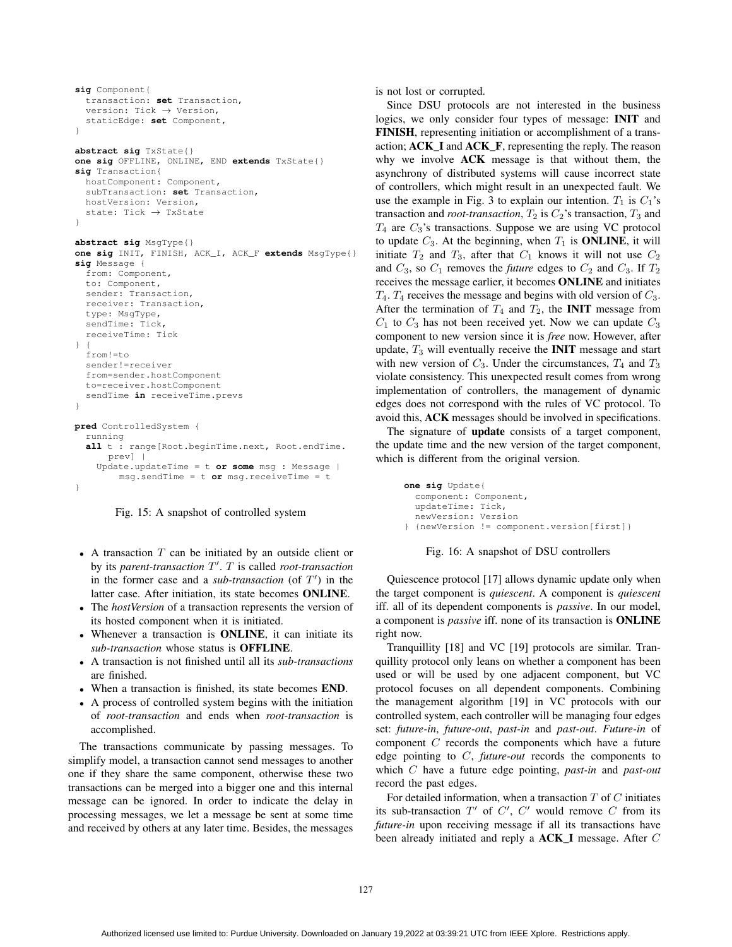```
sig Component{
  transaction: set Transaction,
  version: Tick \rightarrow Version,
  staticEdge: set Component,
}
abstract sig TxState{}
one sig OFFLINE, ONLINE, END extends TxState{}
sig Transaction{
  hostComponent: Component,
  subTransaction: set Transaction,
  hostVersion: Version,
  state: Tick → TxState
}
abstract sig MsgType{}
one sig INIT, FINISH, ACK_I, ACK_F extends MsgType{}
sig Message {
  from: Component,
  to: Component,
  sender: Transaction,
  receiver: Transaction,
  type: MsgType,
  sendTime: Tick,
  receiveTime: Tick
} {
  from!=to
  sender!=receiver
  from=sender.hostComponent
  to=receiver.hostComponent
  sendTime in receiveTime.prevs
}
pred ControlledSystem {
  running
  all t : range [Root.beginTime.next, Root.endTime.
      prev] |
    Update.updateTime = t or some msg : Message |
        msg.sendTime = t or msg.receiveTime = t
}
```


- A transaction  $T$  can be initiated by an outside client or by its *parent-transaction* T'. T is called *root-transaction* in the former case and a *sub-transaction* (of  $T'$ ) in the latter case. After initiation, its state becomes ONLINE.
- The *hostVersion* of a transaction represents the version of its hosted component when it is initiated.
- Whenever a transaction is **ONLINE**, it can initiate its *sub-transaction* whose status is OFFLINE.
- A transaction is not finished until all its *sub-transactions* are finished.
- When a transaction is finished, its state becomes END.
- A process of controlled system begins with the initiation of *root-transaction* and ends when *root-transaction* is accomplished.

The transactions communicate by passing messages. To simplify model, a transaction cannot send messages to another one if they share the same component, otherwise these two transactions can be merged into a bigger one and this internal message can be ignored. In order to indicate the delay in processing messages, we let a message be sent at some time and received by others at any later time. Besides, the messages is not lost or corrupted.

Since DSU protocols are not interested in the business logics, we only consider four types of message: INIT and FINISH, representing initiation or accomplishment of a transaction; ACK\_I and ACK\_F, representing the reply. The reason why we involve ACK message is that without them, the asynchrony of distributed systems will cause incorrect state of controllers, which might result in an unexpected fault. We use the example in Fig. 3 to explain our intention.  $T_1$  is  $C_1$ 's transaction and *root-transaction*,  $T_2$  is  $C_2$ 's transaction,  $T_3$  and  $T_4$  are  $C_3$ 's transactions. Suppose we are using VC protocol to update  $C_3$ . At the beginning, when  $T_1$  is **ONLINE**, it will initiate  $T_2$  and  $T_3$ , after that  $C_1$  knows it will not use  $C_2$ and  $C_3$ , so  $C_1$  removes the *future* edges to  $C_2$  and  $C_3$ . If  $T_2$ receives the message earlier, it becomes ONLINE and initiates  $T_4$ .  $T_4$  receives the message and begins with old version of  $C_3$ . After the termination of  $T_4$  and  $T_2$ , the **INIT** message from  $C_1$  to  $C_3$  has not been received yet. Now we can update  $C_3$ component to new version since it is *free* now. However, after update,  $T_3$  will eventually receive the **INIT** message and start with new version of  $C_3$ . Under the circumstances,  $T_4$  and  $T_3$ violate consistency. This unexpected result comes from wrong implementation of controllers, the management of dynamic edges does not correspond with the rules of VC protocol. To avoid this, ACK messages should be involved in specifications.

The signature of **update** consists of a target component, the update time and the new version of the target component, which is different from the original version.

```
one sig Update{
  component: Component,
  updateTime: Tick,
  newVersion: Version
} {newVersion != component.version[first]}
```


Quiescence protocol [17] allows dynamic update only when the target component is *quiescent*. A component is *quiescent* iff. all of its dependent components is *passive*. In our model, a component is *passive* iff. none of its transaction is ONLINE right now.

Tranquillity [18] and VC [19] protocols are similar. Tranquillity protocol only leans on whether a component has been used or will be used by one adjacent component, but VC protocol focuses on all dependent components. Combining the management algorithm [19] in VC protocols with our controlled system, each controller will be managing four edges set: *future-in*, *future-out*, *past-in* and *past-out*. *Future-in* of component  $C$  records the components which have a future edge pointing to C, *future-out* records the components to which C have a future edge pointing, *past-in* and *past-out* record the past edges.

For detailed information, when a transaction  $T$  of  $C$  initiates its sub-transaction  $T'$  of  $C'$ ,  $C'$  would remove C from its *future-in* upon receiving message if all its transactions have been already initiated and reply a **ACK\_I** message. After C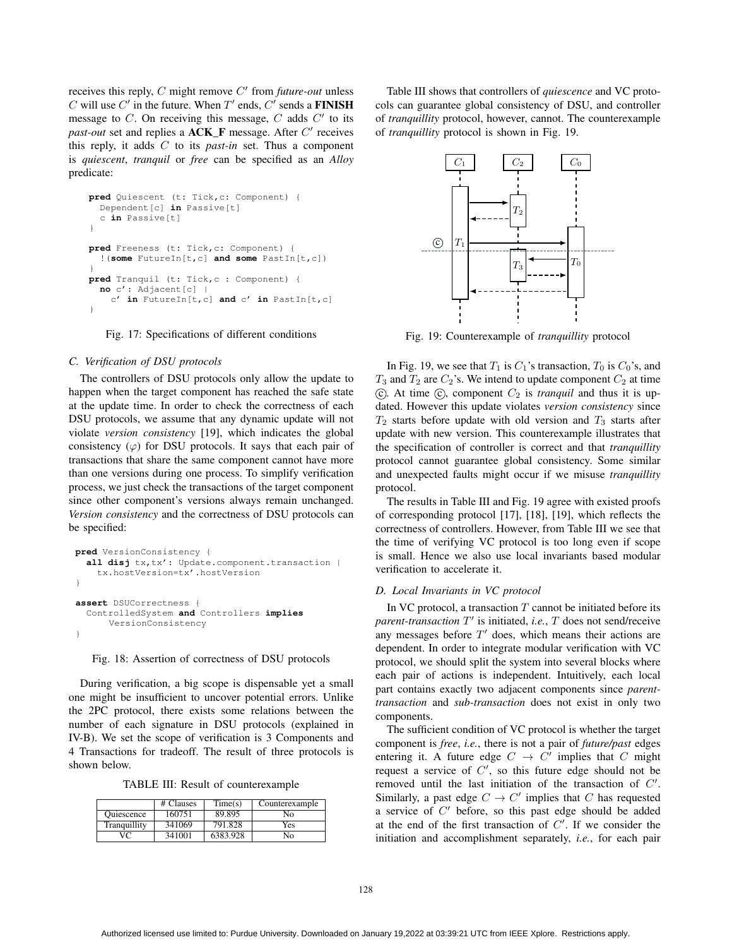receives this reply, C might remove C' from *future-out* unless C will use C' in the future. When  $T'$  ends, C' sends a **FINISH** message to C. On receiving this message, C adds  $C'$  to its *past-out* set and replies a  $ACK_F$  message. After  $C'$  receives this reply, it adds C to its *past-in* set. Thus a component is *quiescent*, *tranquil* or *free* can be specified as an *Alloy* predicate:

```
pred Quiescent (t: Tick,c: Component) {
  Dependent[c] in Passive[t]
  c in Passive[t]
}
pred Freeness (t: Tick,c: Component) {
  !(some FutureIn[t,c] and some PastIn[t,c])
}
pred Tranquil (t: Tick,c : Component) {
  no c': Adjacent[c] |
    c' in FutureIn[t,c] and c' in PastIn[t,c]
}
```


# *C. Verification of DSU protocols*

The controllers of DSU protocols only allow the update to happen when the target component has reached the safe state at the update time. In order to check the correctness of each DSU protocols, we assume that any dynamic update will not violate *version consistency* [19], which indicates the global consistency  $(\varphi)$  for DSU protocols. It says that each pair of transactions that share the same component cannot have more than one versions during one process. To simplify verification process, we just check the transactions of the target component since other component's versions always remain unchanged. *Version consistency* and the correctness of DSU protocols can be specified:

```
pred VersionConsistency {
  all disj tx, tx': Update.component.transaction |
    tx.hostVersion=tx'.hostVersion
}
assert DSUCorrectness {
  ControlledSystem and Controllers implies
      VersionConsistency
}
```


During verification, a big scope is dispensable yet a small one might be insufficient to uncover potential errors. Unlike the 2PC protocol, there exists some relations between the number of each signature in DSU protocols (explained in IV-B). We set the scope of verification is 3 Components and 4 Transactions for tradeoff. The result of three protocols is shown below.

TABLE III: Result of counterexample

|              | # Clauses | Time(s)  | Counterexample |
|--------------|-----------|----------|----------------|
| Ouiescence   | 160751    | 89.895   | Nο             |
| Tranquillity | 341069    | 791.828  | Yes            |
|              | 341001    | 6383.928 | Nο             |

Table III shows that controllers of *quiescence* and VC protocols can guarantee global consistency of DSU, and controller of *tranquillity* protocol, however, cannot. The counterexample of *tranquillity* protocol is shown in Fig. 19.



Fig. 19: Counterexample of *tranquillity* protocol

In Fig. 19, we see that  $T_1$  is  $C_1$ 's transaction,  $T_0$  is  $C_0$ 's, and  $T_3$  and  $T_2$  are  $C_2$ 's. We intend to update component  $C_2$  at time  $\circled{c}$ . At time  $\circled{c}$ , component  $C_2$  is *tranquil* and thus it is updated. However this update violates *version consistency* since  $T_2$  starts before update with old version and  $T_3$  starts after update with new version. This counterexample illustrates that the specification of controller is correct and that *tranquillity* protocol cannot guarantee global consistency. Some similar and unexpected faults might occur if we misuse *tranquillity* protocol.

The results in Table III and Fig. 19 agree with existed proofs of corresponding protocol [17], [18], [19], which reflects the correctness of controllers. However, from Table III we see that the time of verifying VC protocol is too long even if scope is small. Hence we also use local invariants based modular verification to accelerate it.

# *D. Local Invariants in VC protocol*

In VC protocol, a transaction  $T$  cannot be initiated before its parent-transaction T' is initiated, *i.e.*, T does not send/receive any messages before  $T'$  does, which means their actions are dependent. In order to integrate modular verification with VC protocol, we should split the system into several blocks where each pair of actions is independent. Intuitively, each local part contains exactly two adjacent components since *parenttransaction* and *sub-transaction* does not exist in only two components.

The sufficient condition of VC protocol is whether the target component is *free*, *i.e.*, there is not a pair of *future/past* edges entering it. A future edge  $C \rightarrow C'$  implies that C might request a service of  $C'$ , so this future edge should not be removed until the last initiation of the transaction of  $C'$ . Similarly, a past edge  $C \rightarrow C'$  implies that C has requested a service of  $C'$  before, so this past edge should be added at the end of the first transaction of  $C'$ . If we consider the initiation and accomplishment separately, *i.e.*, for each pair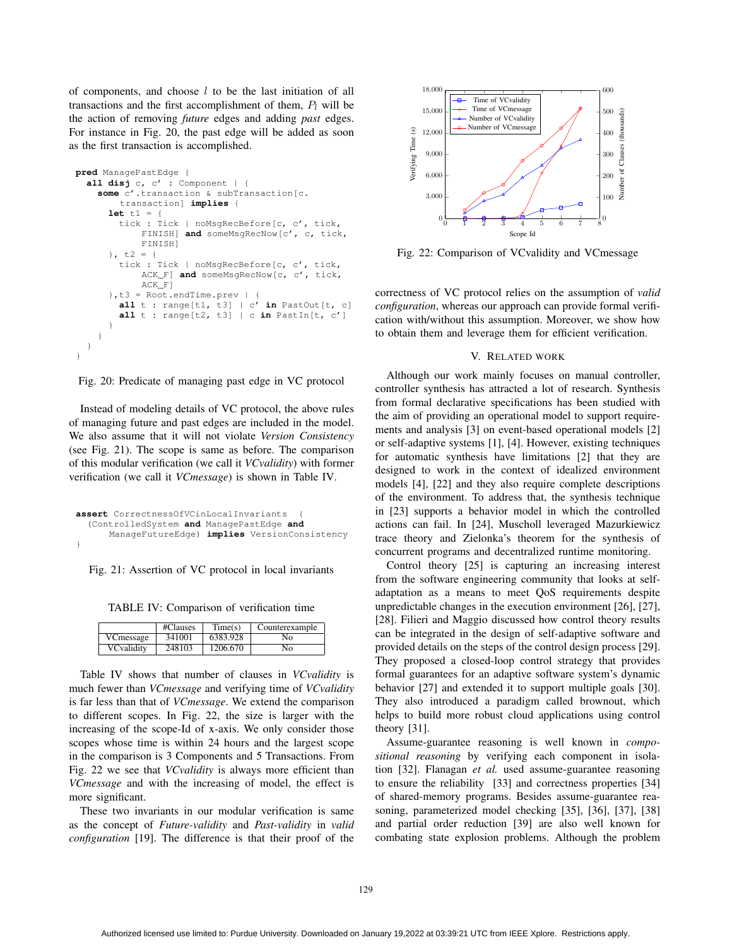of components, and choose  $l$  to be the last initiation of all transactions and the first accomplishment of them,  $P_l$  will be the action of removing *future* edges and adding *past* edges. For instance in Fig. 20, the past edge will be added as soon as the first transaction is accomplished.

```
pred ManagePastEdge {
  all disj c, c' : Component | {
    some c'.transaction & subTransaction[c.
        transaction] implies {
      let t1 =tick : Tick | noMsgRecBefore[c, c', tick,
            FINISH] and someMsgRecNow[c', c, tick,
            FINISH]
      }, t2 = {tick : Tick | noMsgRecBefore[c, c', tick,
            ACK_F] and someMsgRecNow[c, c', tick,
            ACK_F]
      },t3 = Root.endTime.prev | {\n}all t : range[t1, t3] | c' in PastOut[t, c]
        all t : range[t2, t3] | c in PastIn[t, c']
      }
    }
  }
}
```


Instead of modeling details of VC protocol, the above rules of managing future and past edges are included in the model. We also assume that it will not violate *Version Consistency* (see Fig. 21). The scope is same as before. The comparison of this modular verification (we call it *VCvalidity*) with former verification (we call it *VCmessage*) is shown in Table IV.

```
assert CorrectnessOfVCinLocalInvariants {
  (ControlledSystem and ManagePastEdge and
      ManageFutureEdge) implies VersionConsistency
}
```


TABLE IV: Comparison of verification time

|            | #Clauses | Time(s)  | Counterexample |
|------------|----------|----------|----------------|
| VCmessage  | 341001   | 6383.928 | No             |
| VCvaliditv | 248103   | 1206.670 | No             |

Table IV shows that number of clauses in *VCvalidity* is much fewer than *VCmessage* and verifying time of *VCvalidity* is far less than that of *VCmessage*. We extend the comparison to different scopes. In Fig. 22, the size is larger with the increasing of the scope-Id of x-axis. We only consider those scopes whose time is within 24 hours and the largest scope in the comparison is 3 Components and 5 Transactions. From Fig. 22 we see that *VCvalidity* is always more efficient than *VCmessage* and with the increasing of model, the effect is more significant.

These two invariants in our modular verification is same as the concept of *Future-validity* and *Past-validity* in *valid configuration* [19]. The difference is that their proof of the



Fig. 22: Comparison of VCvalidity and VCmessage

correctness of VC protocol relies on the assumption of *valid configuration*, whereas our approach can provide formal verification with/without this assumption. Moreover, we show how to obtain them and leverage them for efficient verification.

# V. RELATED WORK

Although our work mainly focuses on manual controller, controller synthesis has attracted a lot of research. Synthesis from formal declarative specifications has been studied with the aim of providing an operational model to support requirements and analysis [3] on event-based operational models [2] or self-adaptive systems [1], [4]. However, existing techniques for automatic synthesis have limitations [2] that they are designed to work in the context of idealized environment models [4], [22] and they also require complete descriptions of the environment. To address that, the synthesis technique in [23] supports a behavior model in which the controlled actions can fail. In [24], Muscholl leveraged Mazurkiewicz trace theory and Zielonka's theorem for the synthesis of concurrent programs and decentralized runtime monitoring.

Control theory [25] is capturing an increasing interest from the software engineering community that looks at selfadaptation as a means to meet QoS requirements despite unpredictable changes in the execution environment [26], [27], [28]. Filieri and Maggio discussed how control theory results can be integrated in the design of self-adaptive software and provided details on the steps of the control design process [29]. They proposed a closed-loop control strategy that provides formal guarantees for an adaptive software system's dynamic behavior [27] and extended it to support multiple goals [30]. They also introduced a paradigm called brownout, which helps to build more robust cloud applications using control theory [31].

Assume-guarantee reasoning is well known in *compositional reasoning* by verifying each component in isolation [32]. Flanagan *et al.* used assume-guarantee reasoning to ensure the reliability [33] and correctness properties [34] of shared-memory programs. Besides assume-guarantee reasoning, parameterized model checking [35], [36], [37], [38] and partial order reduction [39] are also well known for combating state explosion problems. Although the problem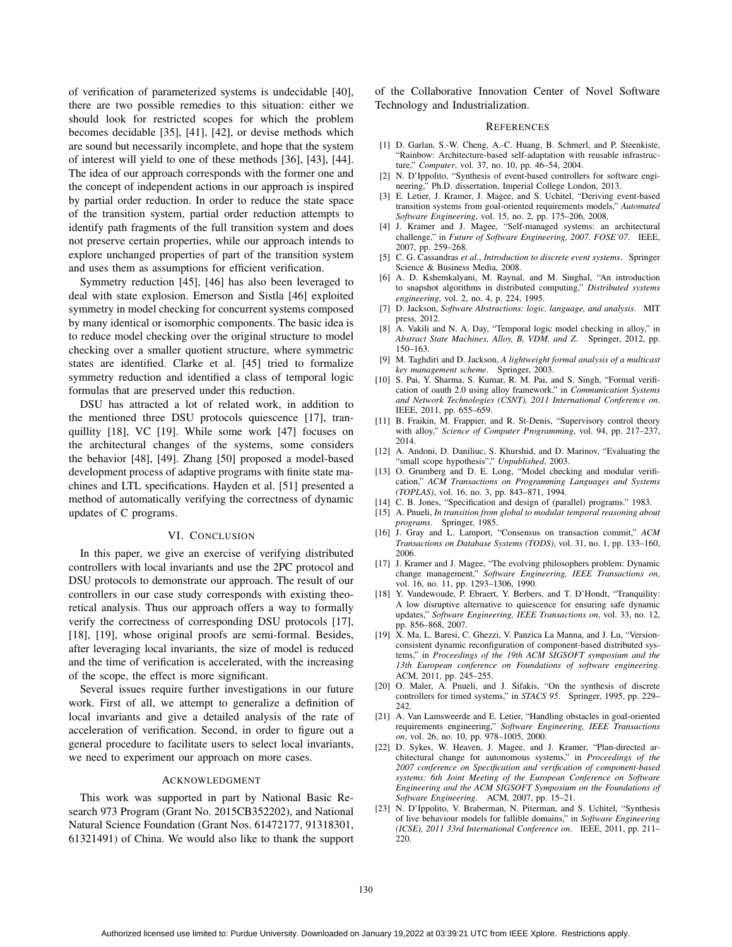of verification of parameterized systems is undecidable [40], there are two possible remedies to this situation: either we should look for restricted scopes for which the problem becomes decidable [35], [41], [42], or devise methods which are sound but necessarily incomplete, and hope that the system of interest will yield to one of these methods [36], [43], [44]. The idea of our approach corresponds with the former one and the concept of independent actions in our approach is inspired by partial order reduction. In order to reduce the state space of the transition system, partial order reduction attempts to identify path fragments of the full transition system and does not preserve certain properties, while our approach intends to explore unchanged properties of part of the transition system and uses them as assumptions for efficient verification.

Symmetry reduction [45], [46] has also been leveraged to deal with state explosion. Emerson and Sistla [46] exploited symmetry in model checking for concurrent systems composed by many identical or isomorphic components. The basic idea is to reduce model checking over the original structure to model checking over a smaller quotient structure, where symmetric states are identified. Clarke et al. [45] tried to formalize symmetry reduction and identified a class of temporal logic formulas that are preserved under this reduction.

DSU has attracted a lot of related work, in addition to the mentioned three DSU protocols quiescence [17], tranquillity [18], VC [19]. While some work [47] focuses on the architectural changes of the systems, some considers the behavior [48], [49]. Zhang [50] proposed a model-based development process of adaptive programs with finite state machines and LTL specifications. Hayden et al. [51] presented a method of automatically verifying the correctness of dynamic updates of C programs.

#### VI. CONCLUSION

In this paper, we give an exercise of verifying distributed controllers with local invariants and use the 2PC protocol and DSU protocols to demonstrate our approach. The result of our controllers in our case study corresponds with existing theoretical analysis. Thus our approach offers a way to formally verify the correctness of corresponding DSU protocols [17], [18], [19], whose original proofs are semi-formal. Besides, after leveraging local invariants, the size of model is reduced and the time of verification is accelerated, with the increasing of the scope, the effect is more significant.

Several issues require further investigations in our future work. First of all, we attempt to generalize a definition of local invariants and give a detailed analysis of the rate of acceleration of verification. Second, in order to figure out a general procedure to facilitate users to select local invariants, we need to experiment our approach on more cases.

#### ACKNOWLEDGMENT

This work was supported in part by National Basic Research 973 Program (Grant No. 2015CB352202), and National Natural Science Foundation (Grant Nos. 61472177, 91318301, 61321491) of China. We would also like to thank the support of the Collaborative Innovation Center of Novel Software Technology and Industrialization.

#### **REFERENCES**

- [1] D. Garlan, S.-W. Cheng, A.-C. Huang, B. Schmerl, and P. Steenkiste, "Rainbow: Architecture-based self-adaptation with reusable infrastructure," *Computer*, vol. 37, no. 10, pp. 46–54, 2004.
- [2] N. D'Ippolito, "Synthesis of event-based controllers for software engineering," Ph.D. dissertation, Imperial College London, 2013.
- [3] E. Letier, J. Kramer, J. Magee, and S. Uchitel, "Deriving event-based transition systems from goal-oriented requirements models," *Automated Software Engineering*, vol. 15, no. 2, pp. 175–206, 2008.
- [4] J. Kramer and J. Magee, "Self-managed systems: an architectural challenge," in *Future of Software Engineering, 2007. FOSE'07*. IEEE, 2007, pp. 259–268.
- [5] C. G. Cassandras *et al.*, *Introduction to discrete event systems*. Springer Science & Business Media, 2008.
- [6] A. D. Kshemkalyani, M. Raynal, and M. Singhal, "An introduction to snapshot algorithms in distributed computing," *Distributed systems engineering*, vol. 2, no. 4, p. 224, 1995.
- [7] D. Jackson, *Software Abstractions: logic, language, and analysis*. MIT press, 2012.
- [8] A. Vakili and N. A. Day, "Temporal logic model checking in alloy," in *Abstract State Machines, Alloy, B, VDM, and Z*. Springer, 2012, pp. 150–163.
- [9] M. Taghdiri and D. Jackson, *A lightweight formal analysis of a multicast key management scheme*. Springer, 2003.
- [10] S. Pai, Y. Sharma, S. Kumar, R. M. Pai, and S. Singh, "Formal verification of oauth 2.0 using alloy framework," in *Communication Systems and Network Technologies (CSNT), 2011 International Conference on*. IEEE, 2011, pp. 655–659.
- [11] B. Fraikin, M. Frappier, and R. St-Denis, "Supervisory control theory with alloy," *Science of Computer Programming*, vol. 94, pp. 217–237, 2014.
- [12] A. Andoni, D. Daniliuc, S. Khurshid, and D. Marinov, "Evaluating the "small scope hypothesis"," *Unpublished*, 2003.
- [13] O. Grumberg and D. E. Long, "Model checking and modular verification," *ACM Transactions on Programming Languages and Systems (TOPLAS)*, vol. 16, no. 3, pp. 843–871, 1994.
- [14] C. B. Jones, "Specification and design of (parallel) programs." 1983.
- [15] A. Pnueli, *In transition from global to modular temporal reasoning about programs*. Springer, 1985.
- [16] J. Gray and L. Lamport, "Consensus on transaction commit," *ACM Transactions on Database Systems (TODS)*, vol. 31, no. 1, pp. 133–160, 2006.
- [17] J. Kramer and J. Magee, "The evolving philosophers problem: Dynamic change management," *Software Engineering, IEEE Transactions on*, vol. 16, no. 11, pp. 1293–1306, 1990.
- [18] Y. Vandewoude, P. Ebraert, Y. Berbers, and T. D'Hondt, "Tranquility: A low disruptive alternative to quiescence for ensuring safe dynamic updates," *Software Engineering, IEEE Transactions on*, vol. 33, no. 12, pp. 856–868, 2007.
- [19]  $\hat{X}$ . Ma, L. Baresi, C. Ghezzi, V. Panzica La Manna, and J. Lu, "Versionconsistent dynamic reconfiguration of component-based distributed systems," in *Proceedings of the 19th ACM SIGSOFT symposium and the 13th European conference on Foundations of software engineering*. ACM, 2011, pp. 245–255.
- [20] O. Maler, A. Pnueli, and J. Sifakis, "On the synthesis of discrete controllers for timed systems," in *STACS 95*. Springer, 1995, pp. 229– 242.
- [21] A. Van Lamsweerde and E. Letier, "Handling obstacles in goal-oriented requirements engineering," *Software Engineering, IEEE Transactions on*, vol. 26, no. 10, pp. 978–1005, 2000.
- [22] D. Sykes, W. Heaven, J. Magee, and J. Kramer, "Plan-directed architectural change for autonomous systems," in *Proceedings of the 2007 conference on Specification and verification of component-based systems: 6th Joint Meeting of the European Conference on Software Engineering and the ACM SIGSOFT Symposium on the Foundations of Software Engineering*. ACM, 2007, pp. 15–21.
- [23] N. D'Ippolito, V. Braberman, N. Piterman, and S. Uchitel, "Synthesis of live behaviour models for fallible domains," in *Software Engineering (ICSE), 2011 33rd International Conference on*. IEEE, 2011, pp. 211– 220.